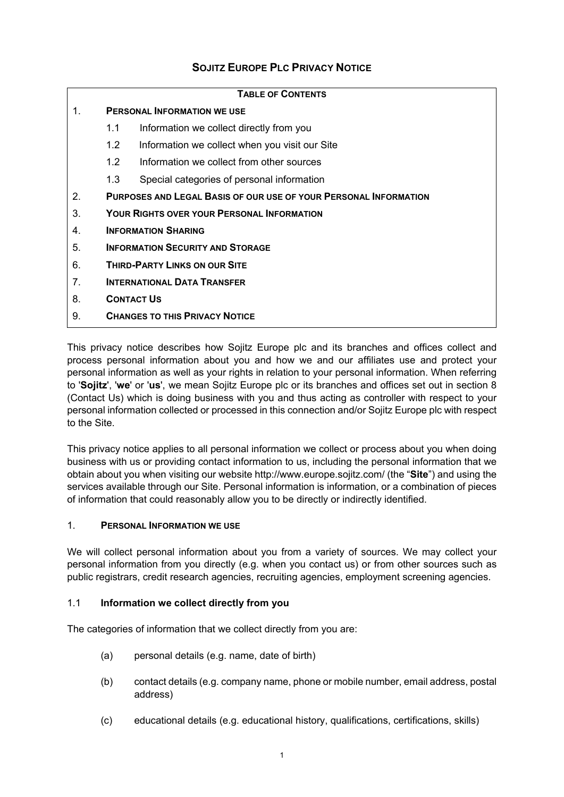# **SOJITZ EUROPE PLC PRIVACY NOTICE**

| <b>TABLE OF CONTENTS</b> |                                                                         |                                                |  |  |
|--------------------------|-------------------------------------------------------------------------|------------------------------------------------|--|--|
| 1.                       | <b>PERSONAL INFORMATION WE USE</b>                                      |                                                |  |  |
|                          | 1.1                                                                     | Information we collect directly from you       |  |  |
|                          | 1.2                                                                     | Information we collect when you visit our Site |  |  |
|                          | 1.2                                                                     | Information we collect from other sources      |  |  |
|                          | 1.3                                                                     | Special categories of personal information     |  |  |
| 2.                       | <b>PURPOSES AND LEGAL BASIS OF OUR USE OF YOUR PERSONAL INFORMATION</b> |                                                |  |  |
| 3.                       | <b>YOUR RIGHTS OVER YOUR PERSONAL INFORMATION</b>                       |                                                |  |  |
| 4.                       | <b>INFORMATION SHARING</b>                                              |                                                |  |  |
| 5.                       | <b>INFORMATION SECURITY AND STORAGE</b>                                 |                                                |  |  |
| 6.                       | <b>THIRD-PARTY LINKS ON OUR SITE</b>                                    |                                                |  |  |
| 7.                       | <b>INTERNATIONAL DATA TRANSFER</b>                                      |                                                |  |  |
| 8.                       | <b>CONTACT US</b>                                                       |                                                |  |  |
| 9.                       | <b>CHANGES TO THIS PRIVACY NOTICE</b>                                   |                                                |  |  |

This privacy notice describes how Sojitz Europe plc and its branches and offices collect and process personal information about you and how we and our affiliates use and protect your personal information as well as your rights in relation to your personal information. When referring to '**Sojitz**', '**we**' or '**us**', we mean Sojitz Europe plc or its branches and offices set out in section 8 (Contact Us) which is doing business with you and thus acting as controller with respect to your personal information collected or processed in this connection and/or Sojitz Europe plc with respect to the Site.

This privacy notice applies to all personal information we collect or process about you when doing business with us or providing contact information to us, including the personal information that we obtain about you when visiting our website http://www.europe.sojitz.com/ (the "**Site**") and using the services available through our Site. Personal information is information, or a combination of pieces of information that could reasonably allow you to be directly or indirectly identified.

# 1. **PERSONAL INFORMATION WE USE**

We will collect personal information about you from a variety of sources. We may collect your personal information from you directly (e.g. when you contact us) or from other sources such as public registrars, credit research agencies, recruiting agencies, employment screening agencies.

# 1.1 **Information we collect directly from you**

The categories of information that we collect directly from you are:

- (a) personal details (e.g. name, date of birth)
- (b) contact details (e.g. company name, phone or mobile number, email address, postal address)
- (c) educational details (e.g. educational history, qualifications, certifications, skills)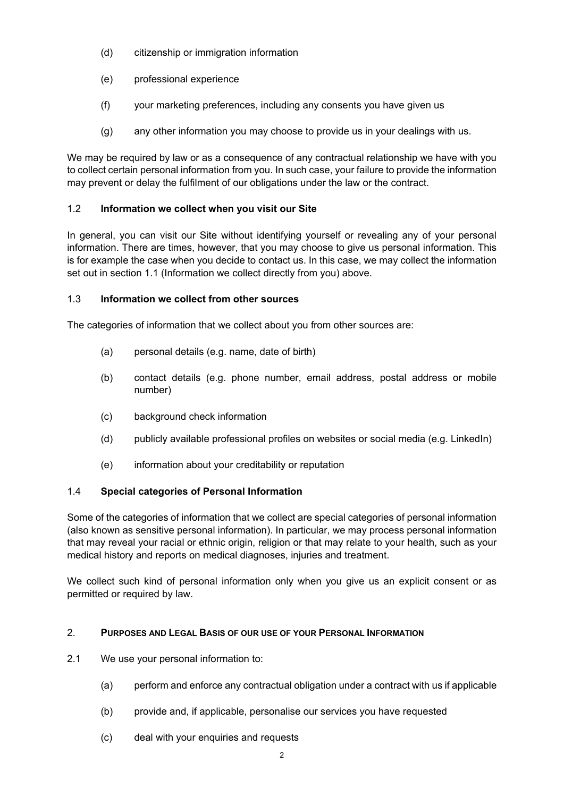- (d) citizenship or immigration information
- (e) professional experience
- (f) your marketing preferences, including any consents you have given us
- (g) any other information you may choose to provide us in your dealings with us.

We may be required by law or as a consequence of any contractual relationship we have with you to collect certain personal information from you. In such case, your failure to provide the information may prevent or delay the fulfilment of our obligations under the law or the contract.

# 1.2 **Information we collect when you visit our Site**

In general, you can visit our Site without identifying yourself or revealing any of your personal information. There are times, however, that you may choose to give us personal information. This is for example the case when you decide to contact us. In this case, we may collect the information set out in section 1.1 (Information we collect directly from you) above.

# 1.3 **Information we collect from other sources**

The categories of information that we collect about you from other sources are:

- (a) personal details (e.g. name, date of birth)
- (b) contact details (e.g. phone number, email address, postal address or mobile number)
- (c) background check information
- (d) publicly available professional profiles on websites or social media (e.g. LinkedIn)
- (e) information about your creditability or reputation

# 1.4 **Special categories of Personal Information**

Some of the categories of information that we collect are special categories of personal information (also known as sensitive personal information). In particular, we may process personal information that may reveal your racial or ethnic origin, religion or that may relate to your health, such as your medical history and reports on medical diagnoses, injuries and treatment.

We collect such kind of personal information only when you give us an explicit consent or as permitted or required by law.

# 2. **PURPOSES AND LEGAL BASIS OF OUR USE OF YOUR PERSONAL INFORMATION**

- 2.1 We use your personal information to:
	- (a) perform and enforce any contractual obligation under a contract with us if applicable
	- (b) provide and, if applicable, personalise our services you have requested
	- (c) deal with your enquiries and requests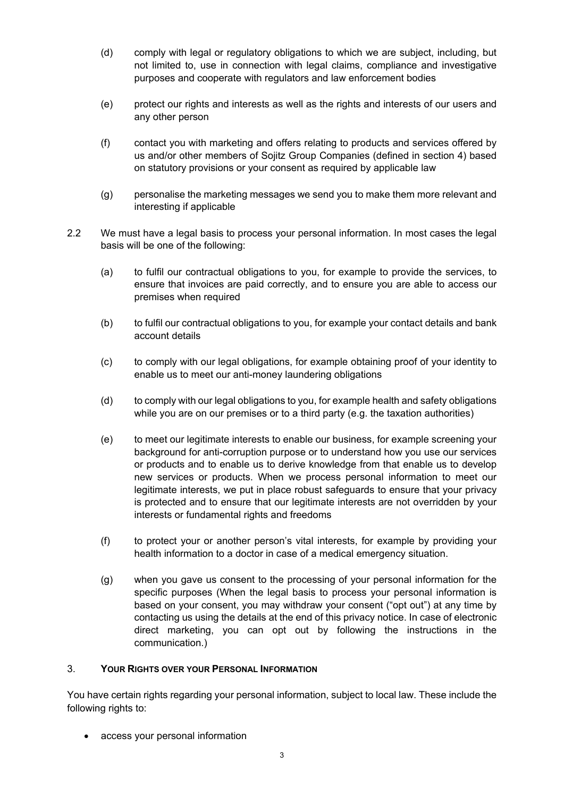- (d) comply with legal or regulatory obligations to which we are subject, including, but not limited to, use in connection with legal claims, compliance and investigative purposes and cooperate with regulators and law enforcement bodies
- (e) protect our rights and interests as well as the rights and interests of our users and any other person
- (f) contact you with marketing and offers relating to products and services offered by us and/or other members of Sojitz Group Companies (defined in section 4) based on statutory provisions or your consent as required by applicable law
- (g) personalise the marketing messages we send you to make them more relevant and interesting if applicable
- 2.2 We must have a legal basis to process your personal information. In most cases the legal basis will be one of the following:
	- (a) to fulfil our contractual obligations to you, for example to provide the services, to ensure that invoices are paid correctly, and to ensure you are able to access our premises when required
	- (b) to fulfil our contractual obligations to you, for example your contact details and bank account details
	- (c) to comply with our legal obligations, for example obtaining proof of your identity to enable us to meet our anti-money laundering obligations
	- (d) to comply with our legal obligations to you, for example health and safety obligations while you are on our premises or to a third party (e.g. the taxation authorities)
	- (e) to meet our legitimate interests to enable our business, for example screening your background for anti-corruption purpose or to understand how you use our services or products and to enable us to derive knowledge from that enable us to develop new services or products. When we process personal information to meet our legitimate interests, we put in place robust safeguards to ensure that your privacy is protected and to ensure that our legitimate interests are not overridden by your interests or fundamental rights and freedoms
	- (f) to protect your or another person's vital interests, for example by providing your health information to a doctor in case of a medical emergency situation.
	- (g) when you gave us consent to the processing of your personal information for the specific purposes (When the legal basis to process your personal information is based on your consent, you may withdraw your consent ("opt out") at any time by contacting us using the details at the end of this privacy notice. In case of electronic direct marketing, you can opt out by following the instructions in the communication.)

#### 3. **YOUR RIGHTS OVER YOUR PERSONAL INFORMATION**

You have certain rights regarding your personal information, subject to local law. These include the following rights to:

access your personal information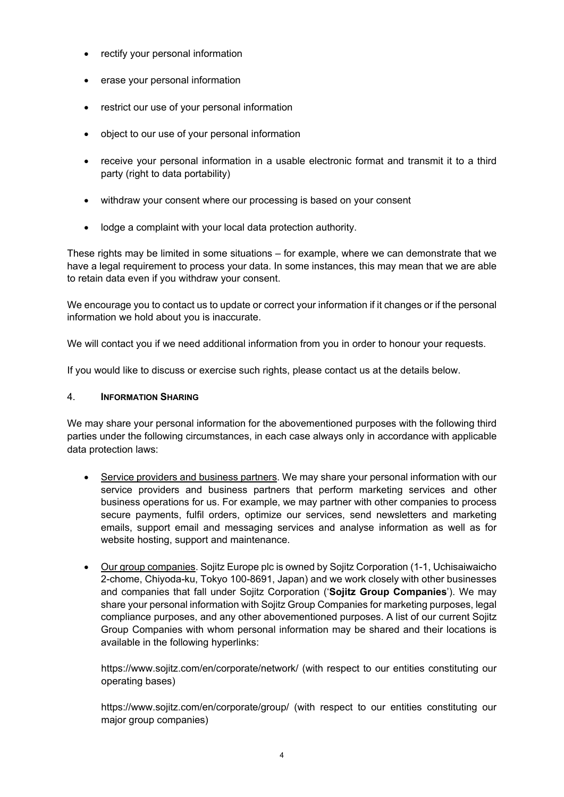- rectify your personal information
- erase your personal information
- restrict our use of your personal information
- object to our use of your personal information
- receive your personal information in a usable electronic format and transmit it to a third party (right to data portability)
- withdraw your consent where our processing is based on your consent
- lodge a complaint with your local data protection authority.

These rights may be limited in some situations – for example, where we can demonstrate that we have a legal requirement to process your data. In some instances, this may mean that we are able to retain data even if you withdraw your consent.

We encourage you to contact us to update or correct your information if it changes or if the personal information we hold about you is inaccurate.

We will contact you if we need additional information from you in order to honour your requests.

If you would like to discuss or exercise such rights, please contact us at the details below.

# 4. **INFORMATION SHARING**

We may share your personal information for the abovementioned purposes with the following third parties under the following circumstances, in each case always only in accordance with applicable data protection laws:

- Service providers and business partners. We may share your personal information with our service providers and business partners that perform marketing services and other business operations for us. For example, we may partner with other companies to process secure payments, fulfil orders, optimize our services, send newsletters and marketing emails, support email and messaging services and analyse information as well as for website hosting, support and maintenance.
- Our group companies. Sojitz Europe plc is owned by Sojitz Corporation (1-1, Uchisaiwaicho 2-chome, Chiyoda-ku, Tokyo 100-8691, Japan) and we work closely with other businesses and companies that fall under Sojitz Corporation ('**Sojitz Group Companies**'). We may share your personal information with Sojitz Group Companies for marketing purposes, legal compliance purposes, and any other abovementioned purposes. A list of our current Sojitz Group Companies with whom personal information may be shared and their locations is available in the following hyperlinks:

https://www.sojitz.com/en/corporate/network/ (with respect to our entities constituting our operating bases)

https://www.sojitz.com/en/corporate/group/ (with respect to our entities constituting our major group companies)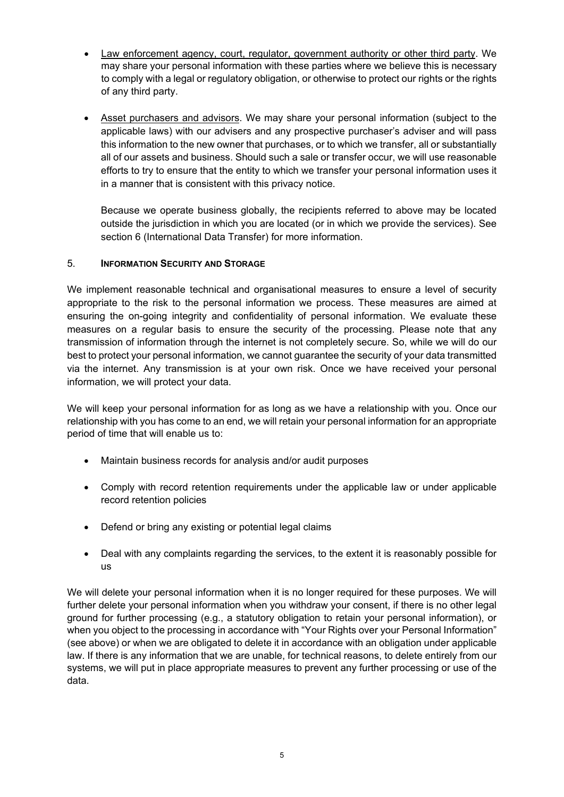- Law enforcement agency, court, regulator, government authority or other third party. We may share your personal information with these parties where we believe this is necessary to comply with a legal or regulatory obligation, or otherwise to protect our rights or the rights of any third party.
- Asset purchasers and advisors. We may share your personal information (subject to the applicable laws) with our advisers and any prospective purchaser's adviser and will pass this information to the new owner that purchases, or to which we transfer, all or substantially all of our assets and business. Should such a sale or transfer occur, we will use reasonable efforts to try to ensure that the entity to which we transfer your personal information uses it in a manner that is consistent with this privacy notice.

Because we operate business globally, the recipients referred to above may be located outside the jurisdiction in which you are located (or in which we provide the services). See section 6 (International Data Transfer) for more information.

# 5. **INFORMATION SECURITY AND STORAGE**

We implement reasonable technical and organisational measures to ensure a level of security appropriate to the risk to the personal information we process. These measures are aimed at ensuring the on-going integrity and confidentiality of personal information. We evaluate these measures on a regular basis to ensure the security of the processing. Please note that any transmission of information through the internet is not completely secure. So, while we will do our best to protect your personal information, we cannot guarantee the security of your data transmitted via the internet. Any transmission is at your own risk. Once we have received your personal information, we will protect your data.

We will keep your personal information for as long as we have a relationship with you. Once our relationship with you has come to an end, we will retain your personal information for an appropriate period of time that will enable us to:

- Maintain business records for analysis and/or audit purposes
- Comply with record retention requirements under the applicable law or under applicable record retention policies
- Defend or bring any existing or potential legal claims
- Deal with any complaints regarding the services, to the extent it is reasonably possible for us

We will delete your personal information when it is no longer required for these purposes. We will further delete your personal information when you withdraw your consent, if there is no other legal ground for further processing (e.g., a statutory obligation to retain your personal information), or when you object to the processing in accordance with "Your Rights over your Personal Information" (see above) or when we are obligated to delete it in accordance with an obligation under applicable law. If there is any information that we are unable, for technical reasons, to delete entirely from our systems, we will put in place appropriate measures to prevent any further processing or use of the data.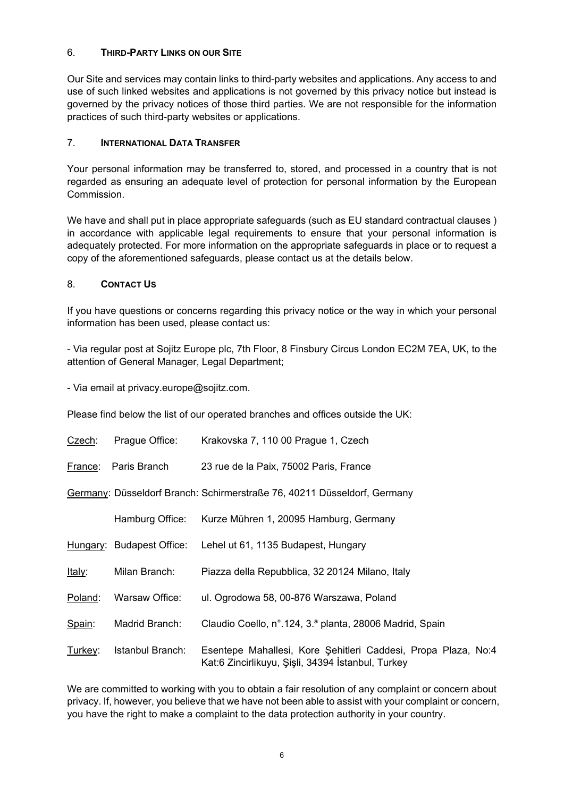# 6. **THIRD-PARTY LINKS ON OUR SITE**

Our Site and services may contain links to third-party websites and applications. Any access to and use of such linked websites and applications is not governed by this privacy notice but instead is governed by the privacy notices of those third parties. We are not responsible for the information practices of such third-party websites or applications.

# 7. **INTERNATIONAL DATA TRANSFER**

Your personal information may be transferred to, stored, and processed in a country that is not regarded as ensuring an adequate level of protection for personal information by the European Commission.

We have and shall put in place appropriate safeguards (such as EU standard contractual clauses ) in accordance with applicable legal requirements to ensure that your personal information is adequately protected. For more information on the appropriate safeguards in place or to request a copy of the aforementioned safeguards, please contact us at the details below.

# 8. **CONTACT US**

If you have questions or concerns regarding this privacy notice or the way in which your personal information has been used, please contact us:

- Via regular post at Sojitz Europe plc, 7th Floor, 8 Finsbury Circus London EC2M 7EA, UK, to the attention of General Manager, Legal Department;

- Via email at privacy.europe@sojitz.com.

Please find below the list of our operated branches and offices outside the UK:

| Czech:                                                                   | Prague Office:            | Krakovska 7, 110 00 Prague 1, Czech                                                                                |  |  |
|--------------------------------------------------------------------------|---------------------------|--------------------------------------------------------------------------------------------------------------------|--|--|
| France:                                                                  | Paris Branch              | 23 rue de la Paix, 75002 Paris, France                                                                             |  |  |
| Germany: Düsseldorf Branch: Schirmerstraße 76, 40211 Düsseldorf, Germany |                           |                                                                                                                    |  |  |
|                                                                          | Hamburg Office:           | Kurze Mühren 1, 20095 Hamburg, Germany                                                                             |  |  |
|                                                                          | Hungary: Budapest Office: | Lehel ut 61, 1135 Budapest, Hungary                                                                                |  |  |
| Italy:                                                                   | Milan Branch:             | Piazza della Repubblica, 32 20124 Milano, Italy                                                                    |  |  |
| Poland:                                                                  | Warsaw Office:            | ul. Ogrodowa 58, 00-876 Warszawa, Poland                                                                           |  |  |
| Spain:                                                                   | Madrid Branch:            | Claudio Coello, n°.124, 3.ª planta, 28006 Madrid, Spain                                                            |  |  |
| Turkey:                                                                  | Istanbul Branch:          | Esentepe Mahallesi, Kore Şehitleri Caddesi, Propa Plaza, No:4<br>Kat:6 Zincirlikuyu, Şişli, 34394 İstanbul, Turkey |  |  |

We are committed to working with you to obtain a fair resolution of any complaint or concern about privacy. If, however, you believe that we have not been able to assist with your complaint or concern, you have the right to make a complaint to the data protection authority in your country.